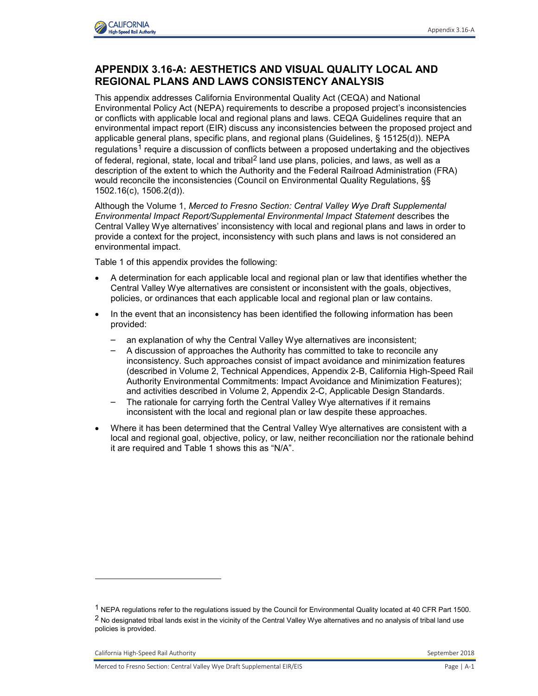

## **APPENDIX 3.16-A: AESTHETICS AND VISUAL QUALITY LOCAL AND REGIONAL PLANS AND LAWS CONSISTENCY ANALYSIS**

This appendix addresses California Environmental Quality Act (CEQA) and National Environmental Policy Act (NEPA) requirements to describe a proposed project's inconsistencies or conflicts with applicable local and regional plans and laws. CEQA Guidelines require that an environmental impact report (EIR) discuss any inconsistencies between the proposed project and applicable general plans, specific plans, and regional plans (Guidelines, § 15125(d)). NEPA regulations<sup>1</sup> require a discussion of conflicts between a proposed undertaking and the objectives of federal, regional, state, local and tribal<sup>2</sup> land use plans, policies, and laws, as well as a description of the extent to which the Authority and the Federal Railroad Administration (FRA) would reconcile the inconsistencies (Council on Environmental Quality Regulations, §§ 1502.16(c), 1506.2(d)).

Although the Volume 1, *Merced to Fresno Section: Central Valley Wye Draft Supplemental Environmental Impact Report/Supplemental Environmental Impact Statement* describes the Central Valley Wye alternatives' inconsistency with local and regional plans and laws in order to provide a context for the project, inconsistency with such plans and laws is not considered an environmental impact.

Table 1 of this appendix provides the following:

- A determination for each applicable local and regional plan or law that identifies whether the Central Valley Wye alternatives are consistent or inconsistent with the goals, objectives, policies, or ordinances that each applicable local and regional plan or law contains.
- In the event that an inconsistency has been identified the following information has been provided:
	- an explanation of why the Central Valley Wye alternatives are inconsistent;
	- A discussion of approaches the Authority has committed to take to reconcile any inconsistency. Such approaches consist of impact avoidance and minimization features (described in Volume 2, Technical Appendices, Appendix 2-B, California High-Speed Rail Authority Environmental Commitments: Impact Avoidance and Minimization Features); and activities described in Volume 2, Appendix 2-C, Applicable Design Standards.
	- The rationale for carrying forth the Central Valley Wye alternatives if it remains inconsistent with the local and regional plan or law despite these approaches.
- Where it has been determined that the Central Valley Wye alternatives are consistent with a local and regional goal, objective, policy, or law, neither reconciliation nor the rationale behind it are required and Table 1 shows this as "N/A".

California High-Speed Rail Authority **September 2018** September 2018

-

<sup>1</sup> NEPA regulations refer to the regulations issued by the Council for Environmental Quality located at 40 CFR Part 1500.  $2$  No designated tribal lands exist in the vicinity of the Central Valley Wye alternatives and no analysis of tribal land use policies is provided.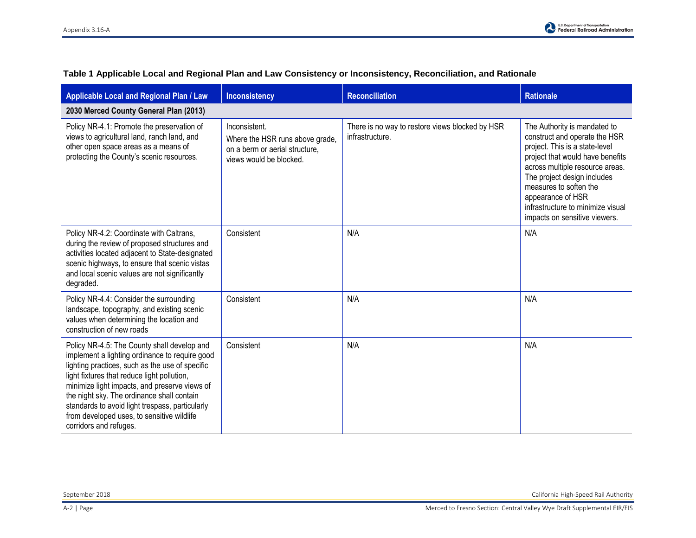| <b>Applicable Local and Regional Plan / Law</b>                                                                                                                                                                                                                                                                                                                                                                           | <b>Inconsistency</b>                                                                                          | <b>Reconciliation</b>                                              | <b>Rationale</b>                                                                                                                                                                                                                                                                                                           |
|---------------------------------------------------------------------------------------------------------------------------------------------------------------------------------------------------------------------------------------------------------------------------------------------------------------------------------------------------------------------------------------------------------------------------|---------------------------------------------------------------------------------------------------------------|--------------------------------------------------------------------|----------------------------------------------------------------------------------------------------------------------------------------------------------------------------------------------------------------------------------------------------------------------------------------------------------------------------|
| 2030 Merced County General Plan (2013)                                                                                                                                                                                                                                                                                                                                                                                    |                                                                                                               |                                                                    |                                                                                                                                                                                                                                                                                                                            |
| Policy NR-4.1: Promote the preservation of<br>views to agricultural land, ranch land, and<br>other open space areas as a means of<br>protecting the County's scenic resources.                                                                                                                                                                                                                                            | Inconsistent.<br>Where the HSR runs above grade,<br>on a berm or aerial structure,<br>views would be blocked. | There is no way to restore views blocked by HSR<br>infrastructure. | The Authority is mandated to<br>construct and operate the HSR<br>project. This is a state-level<br>project that would have benefits<br>across multiple resource areas.<br>The project design includes<br>measures to soften the<br>appearance of HSR<br>infrastructure to minimize visual<br>impacts on sensitive viewers. |
| Policy NR-4.2: Coordinate with Caltrans,<br>during the review of proposed structures and<br>activities located adjacent to State-designated<br>scenic highways, to ensure that scenic vistas<br>and local scenic values are not significantly<br>degraded.                                                                                                                                                                | Consistent                                                                                                    | N/A                                                                | N/A                                                                                                                                                                                                                                                                                                                        |
| Policy NR-4.4: Consider the surrounding<br>landscape, topography, and existing scenic<br>values when determining the location and<br>construction of new roads                                                                                                                                                                                                                                                            | Consistent                                                                                                    | N/A                                                                | N/A                                                                                                                                                                                                                                                                                                                        |
| Policy NR-4.5: The County shall develop and<br>implement a lighting ordinance to require good<br>lighting practices, such as the use of specific<br>light fixtures that reduce light pollution,<br>minimize light impacts, and preserve views of<br>the night sky. The ordinance shall contain<br>standards to avoid light trespass, particularly<br>from developed uses, to sensitive wildlife<br>corridors and refuges. | Consistent                                                                                                    | N/A                                                                | N/A                                                                                                                                                                                                                                                                                                                        |

## **Table 1 Applicable Local and Regional Plan and Law Consistency or Inconsistency, Reconciliation, and Rationale**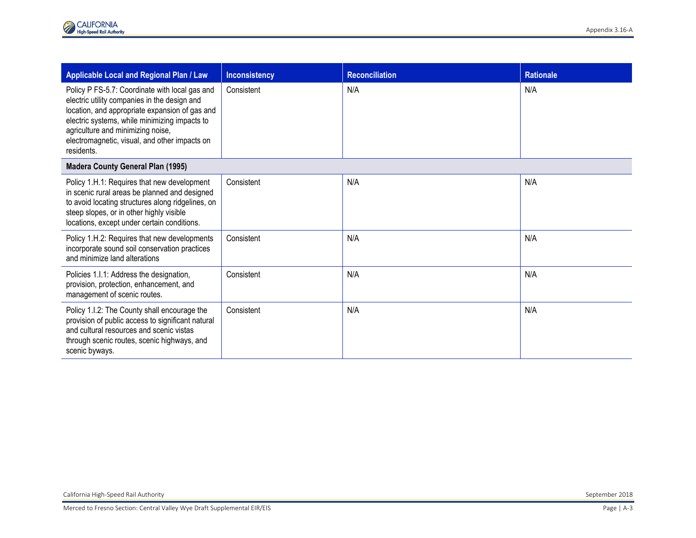| <b>Applicable Local and Regional Plan / Law</b>                                                                                                                                                                                                                                                       | <b>Inconsistency</b> | <b>Reconciliation</b> | <b>Rationale</b> |
|-------------------------------------------------------------------------------------------------------------------------------------------------------------------------------------------------------------------------------------------------------------------------------------------------------|----------------------|-----------------------|------------------|
| Policy P FS-5.7: Coordinate with local gas and<br>electric utility companies in the design and<br>location, and appropriate expansion of gas and<br>electric systems, while minimizing impacts to<br>agriculture and minimizing noise,<br>electromagnetic, visual, and other impacts on<br>residents. | Consistent           | N/A                   | N/A              |
| <b>Madera County General Plan (1995)</b>                                                                                                                                                                                                                                                              |                      |                       |                  |
| Policy 1.H.1: Requires that new development<br>in scenic rural areas be planned and designed<br>to avoid locating structures along ridgelines, on<br>steep slopes, or in other highly visible<br>locations, except under certain conditions.                                                          | Consistent           | N/A                   | N/A              |
| Policy 1.H.2: Requires that new developments<br>incorporate sound soil conservation practices<br>and minimize land alterations                                                                                                                                                                        | Consistent           | N/A                   | N/A              |
| Policies 1.1.1: Address the designation,<br>provision, protection, enhancement, and<br>management of scenic routes.                                                                                                                                                                                   | Consistent           | N/A                   | N/A              |
| Policy 1.1.2: The County shall encourage the<br>provision of public access to significant natural<br>and cultural resources and scenic vistas<br>through scenic routes, scenic highways, and<br>scenic byways.                                                                                        | Consistent           | N/A                   | N/A              |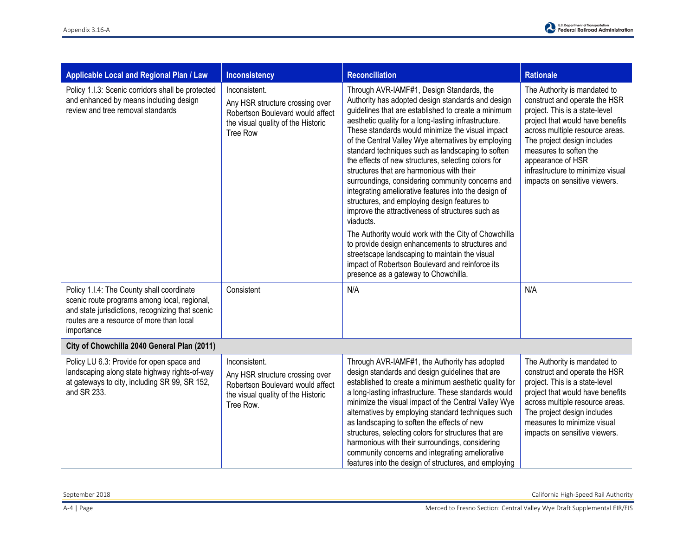

| Applicable Local and Regional Plan / Law                                                                                                                                                                | <b>Inconsistency</b>                                                                                                                          | <b>Reconciliation</b>                                                                                                                                                                                                                                                                                                                                                                                                                                                                                                                                                                                                                                                                                                                                                                                                                                                                                                                                                   | <b>Rationale</b>                                                                                                                                                                                                                                                                                                           |  |
|---------------------------------------------------------------------------------------------------------------------------------------------------------------------------------------------------------|-----------------------------------------------------------------------------------------------------------------------------------------------|-------------------------------------------------------------------------------------------------------------------------------------------------------------------------------------------------------------------------------------------------------------------------------------------------------------------------------------------------------------------------------------------------------------------------------------------------------------------------------------------------------------------------------------------------------------------------------------------------------------------------------------------------------------------------------------------------------------------------------------------------------------------------------------------------------------------------------------------------------------------------------------------------------------------------------------------------------------------------|----------------------------------------------------------------------------------------------------------------------------------------------------------------------------------------------------------------------------------------------------------------------------------------------------------------------------|--|
| Policy 1.1.3: Scenic corridors shall be protected<br>and enhanced by means including design<br>review and tree removal standards                                                                        | Inconsistent.<br>Any HSR structure crossing over<br>Robertson Boulevard would affect<br>the visual quality of the Historic<br><b>Tree Row</b> | Through AVR-IAMF#1, Design Standards, the<br>Authority has adopted design standards and design<br>guidelines that are established to create a minimum<br>aesthetic quality for a long-lasting infrastructure.<br>These standards would minimize the visual impact<br>of the Central Valley Wye alternatives by employing<br>standard techniques such as landscaping to soften<br>the effects of new structures, selecting colors for<br>structures that are harmonious with their<br>surroundings, considering community concerns and<br>integrating ameliorative features into the design of<br>structures, and employing design features to<br>improve the attractiveness of structures such as<br>viaducts.<br>The Authority would work with the City of Chowchilla<br>to provide design enhancements to structures and<br>streetscape landscaping to maintain the visual<br>impact of Robertson Boulevard and reinforce its<br>presence as a gateway to Chowchilla. | The Authority is mandated to<br>construct and operate the HSR<br>project. This is a state-level<br>project that would have benefits<br>across multiple resource areas.<br>The project design includes<br>measures to soften the<br>appearance of HSR<br>infrastructure to minimize visual<br>impacts on sensitive viewers. |  |
| Policy 1.I.4: The County shall coordinate<br>scenic route programs among local, regional,<br>and state jurisdictions, recognizing that scenic<br>routes are a resource of more than local<br>importance | Consistent                                                                                                                                    | N/A                                                                                                                                                                                                                                                                                                                                                                                                                                                                                                                                                                                                                                                                                                                                                                                                                                                                                                                                                                     | N/A                                                                                                                                                                                                                                                                                                                        |  |
| City of Chowchilla 2040 General Plan (2011)                                                                                                                                                             |                                                                                                                                               |                                                                                                                                                                                                                                                                                                                                                                                                                                                                                                                                                                                                                                                                                                                                                                                                                                                                                                                                                                         |                                                                                                                                                                                                                                                                                                                            |  |
| Policy LU 6.3: Provide for open space and<br>landscaping along state highway rights-of-way<br>at gateways to city, including SR 99, SR 152,<br>and SR 233.                                              | Inconsistent.<br>Any HSR structure crossing over<br>Robertson Boulevard would affect<br>the visual quality of the Historic<br>Tree Row.       | Through AVR-IAMF#1, the Authority has adopted<br>design standards and design guidelines that are<br>established to create a minimum aesthetic quality for<br>a long-lasting infrastructure. These standards would<br>minimize the visual impact of the Central Valley Wye<br>alternatives by employing standard techniques such<br>as landscaping to soften the effects of new<br>structures, selecting colors for structures that are<br>harmonious with their surroundings, considering<br>community concerns and integrating ameliorative<br>features into the design of structures, and employing                                                                                                                                                                                                                                                                                                                                                                   | The Authority is mandated to<br>construct and operate the HSR<br>project. This is a state-level<br>project that would have benefits<br>across multiple resource areas.<br>The project design includes<br>measures to minimize visual<br>impacts on sensitive viewers.                                                      |  |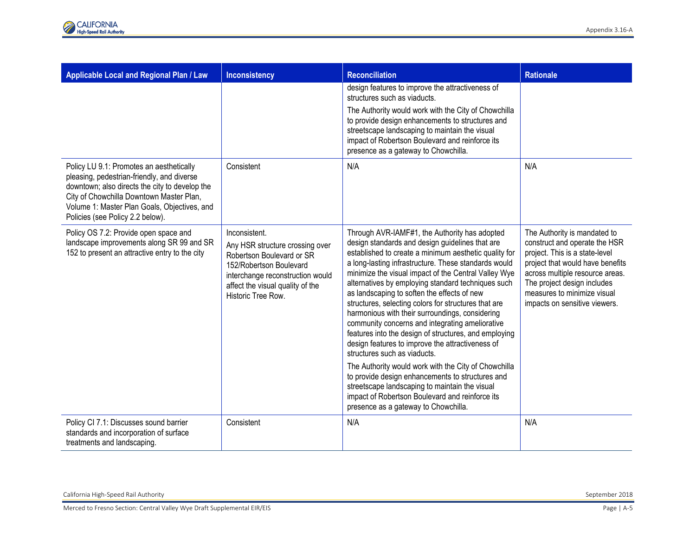| Applicable Local and Regional Plan / Law                                                                                                                                                                                                                                 | <b>Inconsistency</b>                                                                                                                                                                                   | <b>Reconciliation</b>                                                                                                                                                                                                                                                                                                                                                                                                                                                                                                                                                                                                                                                                                                                                                                                                                                                                                                                              | <b>Rationale</b>                                                                                                                                                                                                                                                      |
|--------------------------------------------------------------------------------------------------------------------------------------------------------------------------------------------------------------------------------------------------------------------------|--------------------------------------------------------------------------------------------------------------------------------------------------------------------------------------------------------|----------------------------------------------------------------------------------------------------------------------------------------------------------------------------------------------------------------------------------------------------------------------------------------------------------------------------------------------------------------------------------------------------------------------------------------------------------------------------------------------------------------------------------------------------------------------------------------------------------------------------------------------------------------------------------------------------------------------------------------------------------------------------------------------------------------------------------------------------------------------------------------------------------------------------------------------------|-----------------------------------------------------------------------------------------------------------------------------------------------------------------------------------------------------------------------------------------------------------------------|
|                                                                                                                                                                                                                                                                          |                                                                                                                                                                                                        | design features to improve the attractiveness of<br>structures such as viaducts.<br>The Authority would work with the City of Chowchilla<br>to provide design enhancements to structures and<br>streetscape landscaping to maintain the visual<br>impact of Robertson Boulevard and reinforce its<br>presence as a gateway to Chowchilla.                                                                                                                                                                                                                                                                                                                                                                                                                                                                                                                                                                                                          |                                                                                                                                                                                                                                                                       |
| Policy LU 9.1: Promotes an aesthetically<br>pleasing, pedestrian-friendly, and diverse<br>downtown; also directs the city to develop the<br>City of Chowchilla Downtown Master Plan,<br>Volume 1: Master Plan Goals, Objectives, and<br>Policies (see Policy 2.2 below). | Consistent                                                                                                                                                                                             | N/A                                                                                                                                                                                                                                                                                                                                                                                                                                                                                                                                                                                                                                                                                                                                                                                                                                                                                                                                                | N/A                                                                                                                                                                                                                                                                   |
| Policy OS 7.2: Provide open space and<br>landscape improvements along SR 99 and SR<br>152 to present an attractive entry to the city                                                                                                                                     | Inconsistent.<br>Any HSR structure crossing over<br>Robertson Boulevard or SR<br>152/Robertson Boulevard<br>interchange reconstruction would<br>affect the visual quality of the<br>Historic Tree Row. | Through AVR-IAMF#1, the Authority has adopted<br>design standards and design guidelines that are<br>established to create a minimum aesthetic quality for<br>a long-lasting infrastructure. These standards would<br>minimize the visual impact of the Central Valley Wye<br>alternatives by employing standard techniques such<br>as landscaping to soften the effects of new<br>structures, selecting colors for structures that are<br>harmonious with their surroundings, considering<br>community concerns and integrating ameliorative<br>features into the design of structures, and employing<br>design features to improve the attractiveness of<br>structures such as viaducts.<br>The Authority would work with the City of Chowchilla<br>to provide design enhancements to structures and<br>streetscape landscaping to maintain the visual<br>impact of Robertson Boulevard and reinforce its<br>presence as a gateway to Chowchilla. | The Authority is mandated to<br>construct and operate the HSR<br>project. This is a state-level<br>project that would have benefits<br>across multiple resource areas.<br>The project design includes<br>measures to minimize visual<br>impacts on sensitive viewers. |
| Policy CI 7.1: Discusses sound barrier<br>standards and incorporation of surface<br>treatments and landscaping.                                                                                                                                                          | Consistent                                                                                                                                                                                             | N/A                                                                                                                                                                                                                                                                                                                                                                                                                                                                                                                                                                                                                                                                                                                                                                                                                                                                                                                                                | N/A                                                                                                                                                                                                                                                                   |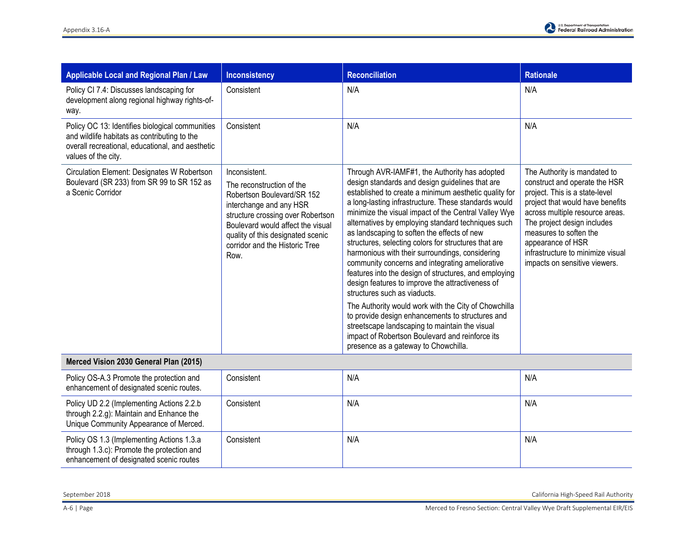| <b>Applicable Local and Regional Plan / Law</b>                                                                                                                            | Inconsistency                                                                                                                                                                                                                                                | <b>Reconciliation</b>                                                                                                                                                                                                                                                                                                                                                                                                                                                                                                                                                                                                                                                                                                                                                                                                                                                                                                                              | <b>Rationale</b>                                                                                                                                                                                                                                                                                                           |
|----------------------------------------------------------------------------------------------------------------------------------------------------------------------------|--------------------------------------------------------------------------------------------------------------------------------------------------------------------------------------------------------------------------------------------------------------|----------------------------------------------------------------------------------------------------------------------------------------------------------------------------------------------------------------------------------------------------------------------------------------------------------------------------------------------------------------------------------------------------------------------------------------------------------------------------------------------------------------------------------------------------------------------------------------------------------------------------------------------------------------------------------------------------------------------------------------------------------------------------------------------------------------------------------------------------------------------------------------------------------------------------------------------------|----------------------------------------------------------------------------------------------------------------------------------------------------------------------------------------------------------------------------------------------------------------------------------------------------------------------------|
| Policy CI 7.4: Discusses landscaping for<br>development along regional highway rights-of-<br>way.                                                                          | Consistent                                                                                                                                                                                                                                                   | N/A                                                                                                                                                                                                                                                                                                                                                                                                                                                                                                                                                                                                                                                                                                                                                                                                                                                                                                                                                | N/A                                                                                                                                                                                                                                                                                                                        |
| Policy OC 13: Identifies biological communities<br>and wildlife habitats as contributing to the<br>overall recreational, educational, and aesthetic<br>values of the city. | Consistent                                                                                                                                                                                                                                                   | N/A                                                                                                                                                                                                                                                                                                                                                                                                                                                                                                                                                                                                                                                                                                                                                                                                                                                                                                                                                | N/A                                                                                                                                                                                                                                                                                                                        |
| Circulation Element: Designates W Robertson<br>Boulevard (SR 233) from SR 99 to SR 152 as<br>a Scenic Corridor                                                             | Inconsistent.<br>The reconstruction of the<br>Robertson Boulevard/SR 152<br>interchange and any HSR<br>structure crossing over Robertson<br>Boulevard would affect the visual<br>quality of this designated scenic<br>corridor and the Historic Tree<br>Row. | Through AVR-IAMF#1, the Authority has adopted<br>design standards and design guidelines that are<br>established to create a minimum aesthetic quality for<br>a long-lasting infrastructure. These standards would<br>minimize the visual impact of the Central Valley Wye<br>alternatives by employing standard techniques such<br>as landscaping to soften the effects of new<br>structures, selecting colors for structures that are<br>harmonious with their surroundings, considering<br>community concerns and integrating ameliorative<br>features into the design of structures, and employing<br>design features to improve the attractiveness of<br>structures such as viaducts.<br>The Authority would work with the City of Chowchilla<br>to provide design enhancements to structures and<br>streetscape landscaping to maintain the visual<br>impact of Robertson Boulevard and reinforce its<br>presence as a gateway to Chowchilla. | The Authority is mandated to<br>construct and operate the HSR<br>project. This is a state-level<br>project that would have benefits<br>across multiple resource areas.<br>The project design includes<br>measures to soften the<br>appearance of HSR<br>infrastructure to minimize visual<br>impacts on sensitive viewers. |

## **Merced Vision 2030 General Plan (2015)**

| Policy OS-A.3 Promote the protection and<br>enhancement of designated scenic routes.                                                | Consistent | N/A | N/A |
|-------------------------------------------------------------------------------------------------------------------------------------|------------|-----|-----|
| Policy UD 2.2 (Implementing Actions 2.2.b)<br>through 2.2.g): Maintain and Enhance the<br>Unique Community Appearance of Merced.    | Consistent | N/A | N/A |
| Policy OS 1.3 (Implementing Actions 1.3.a)<br>through 1.3.c): Promote the protection and<br>enhancement of designated scenic routes | Consistent | N/A | N/A |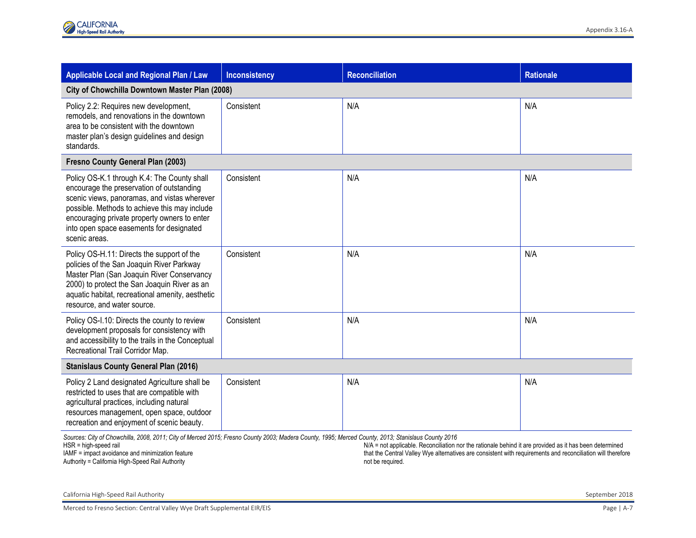| <b>Applicable Local and Regional Plan / Law</b>                                                                                                                                                                                                                                                        | <b>Inconsistency</b> | <b>Reconciliation</b> | <b>Rationale</b> |
|--------------------------------------------------------------------------------------------------------------------------------------------------------------------------------------------------------------------------------------------------------------------------------------------------------|----------------------|-----------------------|------------------|
| City of Chowchilla Downtown Master Plan (2008)                                                                                                                                                                                                                                                         |                      |                       |                  |
| Policy 2.2: Requires new development,<br>remodels, and renovations in the downtown<br>area to be consistent with the downtown<br>master plan's design guidelines and design<br>standards.                                                                                                              | Consistent           | N/A                   | N/A              |
| <b>Fresno County General Plan (2003)</b>                                                                                                                                                                                                                                                               |                      |                       |                  |
| Policy OS-K.1 through K.4: The County shall<br>encourage the preservation of outstanding<br>scenic views, panoramas, and vistas wherever<br>possible. Methods to achieve this may include<br>encouraging private property owners to enter<br>into open space easements for designated<br>scenic areas. | Consistent           | N/A                   | N/A              |
| Policy OS-H.11: Directs the support of the<br>policies of the San Joaquin River Parkway<br>Master Plan (San Joaquin River Conservancy<br>2000) to protect the San Joaquin River as an<br>aquatic habitat, recreational amenity, aesthetic<br>resource, and water source.                               | Consistent           | N/A                   | N/A              |
| Policy OS-I.10: Directs the county to review<br>development proposals for consistency with<br>and accessibility to the trails in the Conceptual<br>Recreational Trail Corridor Map.                                                                                                                    | Consistent           | N/A                   | N/A              |
| <b>Stanislaus County General Plan (2016)</b>                                                                                                                                                                                                                                                           |                      |                       |                  |
| Policy 2 Land designated Agriculture shall be<br>restricted to uses that are compatible with<br>agricultural practices, including natural<br>resources management, open space, outdoor<br>recreation and enjoyment of scenic beauty.                                                                   | Consistent           | N/A                   | N/A              |
| Sources: City of Chowchilla, 2008, 2011; City of Merced 2015; Fresno County 2003; Madera County, 1995; Merced County, 2013; Stanislaus County 2016<br>$N/A = RA$ and $RA$                                                                                                                              |                      |                       |                  |

HSR = high-speed rail IAMF = impact avoidance and minimization feature

Authority = California High-Speed Rail Authority

N/A = not applicable. Reconciliation nor the rationale behind it are provided as it has been determined that the Central Valley Wye alternatives are consistent with requirements and reconciliation will therefore not be required.